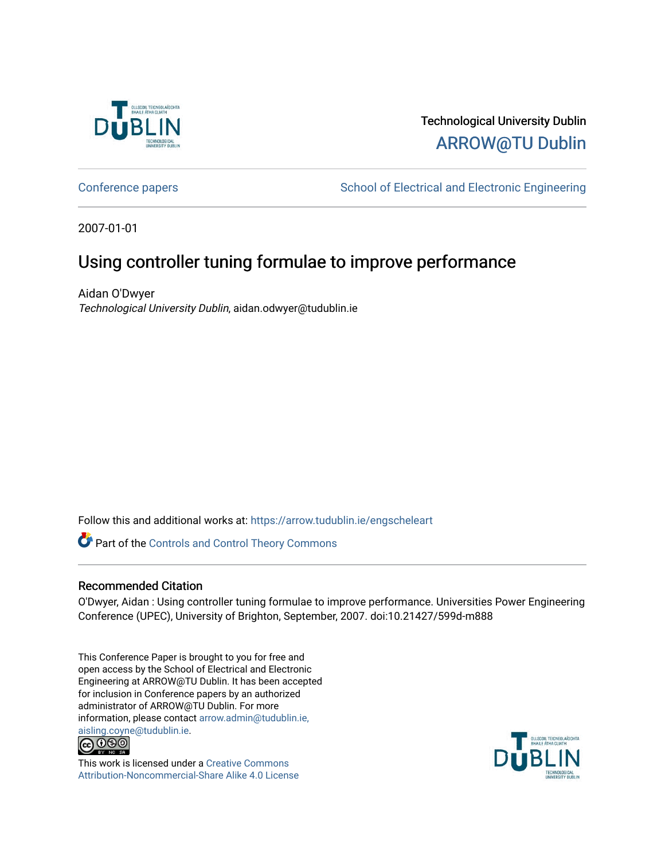

# Technological University Dublin [ARROW@TU Dublin](https://arrow.tudublin.ie/)

[Conference papers](https://arrow.tudublin.ie/engscheleart) **School of Electrical and Electronic Engineering** 

2007-01-01

# Using controller tuning formulae to improve performance

Aidan O'Dwyer Technological University Dublin, aidan.odwyer@tudublin.ie

Follow this and additional works at: [https://arrow.tudublin.ie/engscheleart](https://arrow.tudublin.ie/engscheleart?utm_source=arrow.tudublin.ie%2Fengscheleart%2F70&utm_medium=PDF&utm_campaign=PDFCoverPages) 

Part of the [Controls and Control Theory Commons](http://network.bepress.com/hgg/discipline/269?utm_source=arrow.tudublin.ie%2Fengscheleart%2F70&utm_medium=PDF&utm_campaign=PDFCoverPages) 

## Recommended Citation

O'Dwyer, Aidan : Using controller tuning formulae to improve performance. Universities Power Engineering Conference (UPEC), University of Brighton, September, 2007. doi:10.21427/599d-m888

This Conference Paper is brought to you for free and open access by the School of Electrical and Electronic Engineering at ARROW@TU Dublin. It has been accepted for inclusion in Conference papers by an authorized administrator of ARROW@TU Dublin. For more information, please contact [arrow.admin@tudublin.ie,](mailto:arrow.admin@tudublin.ie,%20aisling.coyne@tudublin.ie)  [aisling.coyne@tudublin.ie.](mailto:arrow.admin@tudublin.ie,%20aisling.coyne@tudublin.ie)<br>© 090



This work is licensed under a [Creative Commons](http://creativecommons.org/licenses/by-nc-sa/4.0/) [Attribution-Noncommercial-Share Alike 4.0 License](http://creativecommons.org/licenses/by-nc-sa/4.0/)

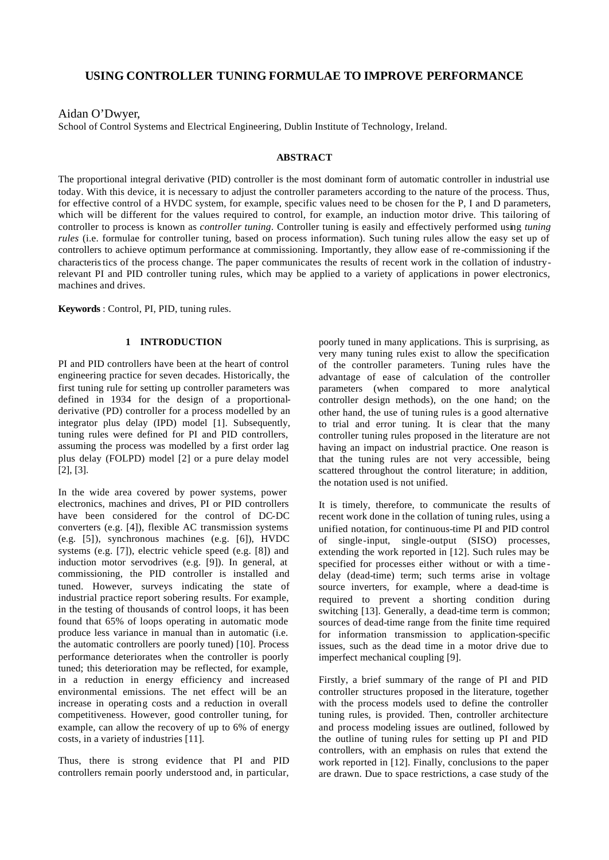## **USING CONTROLLER TUNING FORMULAE TO IMPROVE PERFORMANCE**

Aidan O'Dwyer,

School of Control Systems and Electrical Engineering, Dublin Institute of Technology, Ireland.

#### **ABSTRACT**

The proportional integral derivative (PID) controller is the most dominant form of automatic controller in industrial use today. With this device, it is necessary to adjust the controller parameters according to the nature of the process. Thus, for effective control of a HVDC system, for example, specific values need to be chosen for the P, I and D parameters, which will be different for the values required to control, for example, an induction motor drive. This tailoring of controller to process is known as *controller tuning*. Controller tuning is easily and effectively performed using *tuning rules* (i.e. formulae for controller tuning, based on process information). Such tuning rules allow the easy set up of controllers to achieve optimum performance at commissioning. Importantly, they allow ease of re-commissioning if the characteristics of the process change. The paper communicates the results of recent work in the collation of industryrelevant PI and PID controller tuning rules, which may be applied to a variety of applications in power electronics, machines and drives.

**Keywords** : Control, PI, PID, tuning rules.

### **1 INTRODUCTION**

PI and PID controllers have been at the heart of control engineering practice for seven decades. Historically, the first tuning rule for setting up controller parameters was defined in 1934 for the design of a proportionalderivative (PD) controller for a process modelled by an integrator plus delay (IPD) model [1]. Subsequently, tuning rules were defined for PI and PID controllers, assuming the process was modelled by a first order lag plus delay (FOLPD) model [2] or a pure delay model [2], [3].

In the wide area covered by power systems, power electronics, machines and drives, PI or PID controllers have been considered for the control of DC-DC converters (e.g. [4]), flexible AC transmission systems (e.g. [5]), synchronous machines (e.g. [6]), HVDC systems (e.g. [7]), electric vehicle speed (e.g. [8]) and induction motor servodrives (e.g. [9]). In general, at commissioning, the PID controller is installed and tuned. However, surveys indicating the state of industrial practice report sobering results. For example, in the testing of thousands of control loops, it has been found that 65% of loops operating in automatic mode produce less variance in manual than in automatic (i.e. the automatic controllers are poorly tuned) [10]. Process performance deteriorates when the controller is poorly tuned; this deterioration may be reflected, for example, in a reduction in energy efficiency and increased environmental emissions. The net effect will be an increase in operating costs and a reduction in overall competitiveness. However, good controller tuning, for example, can allow the recovery of up to 6% of energy costs, in a variety of industries [11].

Thus, there is strong evidence that PI and PID controllers remain poorly understood and, in particular,

poorly tuned in many applications. This is surprising, as very many tuning rules exist to allow the specification of the controller parameters. Tuning rules have the advantage of ease of calculation of the controller parameters (when compared to more analytical controller design methods), on the one hand; on the other hand, the use of tuning rules is a good alternative to trial and error tuning. It is clear that the many controller tuning rules proposed in the literature are not having an impact on industrial practice. One reason is that the tuning rules are not very accessible, being scattered throughout the control literature; in addition, the notation used is not unified.

It is timely, therefore, to communicate the results of recent work done in the collation of tuning rules, using a unified notation, for continuous-time PI and PID control of single-input, single-output (SISO) processes, extending the work reported in [12]. Such rules may be specified for processes either without or with a time delay (dead-time) term; such terms arise in voltage source inverters, for example, where a dead-time is required to prevent a shorting condition during switching [13]. Generally, a dead-time term is common; sources of dead-time range from the finite time required for information transmission to application-specific issues, such as the dead time in a motor drive due to imperfect mechanical coupling [9].

Firstly, a brief summary of the range of PI and PID controller structures proposed in the literature, together with the process models used to define the controller tuning rules, is provided. Then, controller architecture and process modeling issues are outlined, followed by the outline of tuning rules for setting up PI and PID controllers, with an emphasis on rules that extend the work reported in [12]. Finally, conclusions to the paper are drawn. Due to space restrictions, a case study of the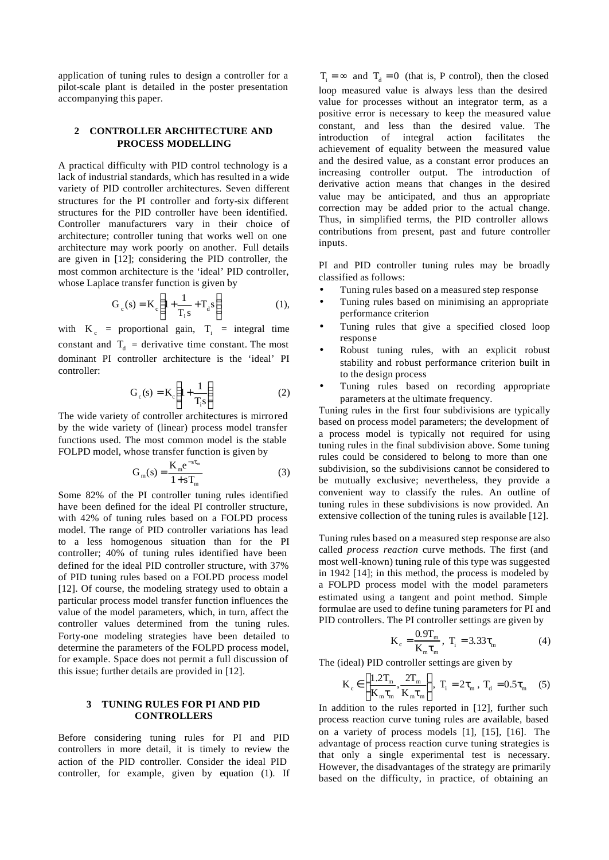application of tuning rules to design a controller for a pilot-scale plant is detailed in the poster presentation accompanying this paper.

### **2 CONTROLLER ARCHITECTURE AND PROCESS MODELLING**

A practical difficulty with PID control technology is a lack of industrial standards, which has resulted in a wide variety of PID controller architectures. Seven different structures for the PI controller and forty-six different structures for the PID controller have been identified. Controller manufacturers vary in their choice of architecture; controller tuning that works well on one architecture may work poorly on another. Full details are given in [12]; considering the PID controller, the most common architecture is the 'ideal' PID controller, whose Laplace transfer function is given by

$$
G_c(s) = K_c \left( 1 + \frac{1}{T_i s} + T_d s \right)
$$
 (1),

with  $K_c$  = proportional gain,  $T_i$  = integral time constant and  $T_d$  = derivative time constant. The most dominant PI controller architecture is the 'ideal' PI controller:

$$
G_c(s) = K_c \left( 1 + \frac{1}{T_i s} \right) \tag{2}
$$

The wide variety of controller architectures is mirrored by the wide variety of (linear) process model transfer functions used. The most common model is the stable FOLPD model, whose transfer function is given by

$$
G_m(s) = \frac{K_m e^{-s\tau_m}}{1 + sT_m}
$$
 (3)

Some 82% of the PI controller tuning rules identified have been defined for the ideal PI controller structure, with 42% of tuning rules based on a FOLPD process model. The range of PID controller variations has lead to a less homogenous situation than for the PI controller; 40% of tuning rules identified have been defined for the ideal PID controller structure, with 37% of PID tuning rules based on a FOLPD process model [12]. Of course, the modeling strategy used to obtain a particular process model transfer function influences the value of the model parameters, which, in turn, affect the controller values determined from the tuning rules. Forty-one modeling strategies have been detailed to determine the parameters of the FOLPD process model, for example. Space does not permit a full discussion of this issue; further details are provided in [12].

#### **3 TUNING RULES FOR PI AND PID CONTROLLERS**

Before considering tuning rules for PI and PID controllers in more detail, it is timely to review the action of the PID controller. Consider the ideal PID controller, for example, given by equation (1). If

 $T_i = \infty$  and  $T_d = 0$  (that is, P control), then the closed loop measured value is always less than the desired value for processes without an integrator term, as a positive error is necessary to keep the measured value constant, and less than the desired value. The introduction of integral action facilitates the achievement of equality between the measured value and the desired value, as a constant error produces an increasing controller output. The introduction of derivative action means that changes in the desired value may be anticipated, and thus an appropriate correction may be added prior to the actual change. Thus, in simplified terms, the PID controller allows contributions from present, past and future controller inputs.

PI and PID controller tuning rules may be broadly classified as follows:

- Tuning rules based on a measured step response
- Tuning rules based on minimising an appropriate performance criterion
- Tuning rules that give a specified closed loop response
- Robust tuning rules, with an explicit robust stability and robust performance criterion built in to the design process
- Tuning rules based on recording appropriate parameters at the ultimate frequency.

Tuning rules in the first four subdivisions are typically based on process model parameters; the development of a process model is typically not required for using tuning rules in the final subdivision above. Some tuning rules could be considered to belong to more than one subdivision, so the subdivisions cannot be considered to be mutually exclusive; nevertheless, they provide a convenient way to classify the rules. An outline of tuning rules in these subdivisions is now provided. An extensive collection of the tuning rules is available [12].

Tuning rules based on a measured step response are also called *process reaction* curve methods. The first (and most well-known) tuning rule of this type was suggested in 1942 [14]; in this method, the process is modeled by a FOLPD process model with the model parameters estimated using a tangent and point method. Simple formulae are used to define tuning parameters for PI and PID controllers. The PI controller settings are given by

$$
K_c = \frac{0.9T_m}{K_m \tau_m}, \ T_i = 3.33 \tau_m \tag{4}
$$

The (ideal) PID controller settings are given by

$$
\mathbf{K}_{\rm c} \in \left[ \frac{1.2\mathrm{T}_{\rm m}}{\mathrm{K}_{\rm m}\tau_{\rm m}}, \frac{2\mathrm{T}_{\rm m}}{\mathrm{K}_{\rm m}\tau_{\rm m}} \right], \ \mathbf{T}_{\rm i} = 2\tau_{\rm m}, \ \mathbf{T}_{\rm d} = 0.5\tau_{\rm m} \tag{5}
$$

In addition to the rules reported in [12], further such process reaction curve tuning rules are available, based on a variety of process models [1], [15], [16]. The advantage of process reaction curve tuning strategies is that only a single experimental test is necessary. However, the disadvantages of the strategy are primarily based on the difficulty, in practice, of obtaining an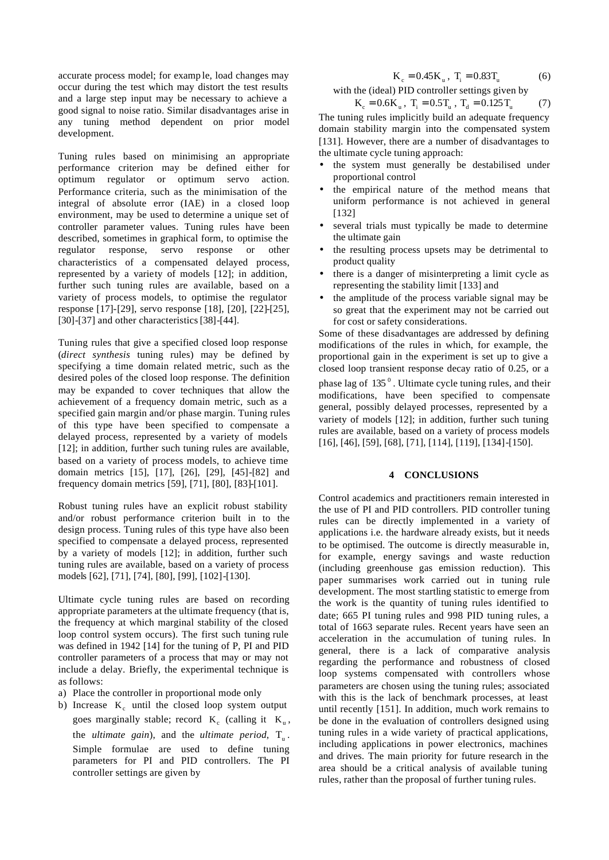accurate process model; for examp le, load changes may occur during the test which may distort the test results and a large step input may be necessary to achieve a good signal to noise ratio. Similar disadvantages arise in any tuning method dependent on prior model development.

Tuning rules based on minimising an appropriate performance criterion may be defined either for optimum regulator or optimum servo action. Performance criteria, such as the minimisation of the integral of absolute error (IAE) in a closed loop environment, may be used to determine a unique set of controller parameter values. Tuning rules have been described, sometimes in graphical form, to optimise the regulator response, servo response or other characteristics of a compensated delayed process, represented by a variety of models [12]; in addition, further such tuning rules are available, based on a variety of process models, to optimise the regulator response [17]-[29], servo response [18], [20], [22]-[25], [30]-[37] and other characteristics [38]-[44].

Tuning rules that give a specified closed loop response (*direct synthesis* tuning rules) may be defined by specifying a time domain related metric, such as the desired poles of the closed loop response. The definition may be expanded to cover techniques that allow the achievement of a frequency domain metric, such as a specified gain margin and/or phase margin. Tuning rules of this type have been specified to compensate a delayed process, represented by a variety of models [12]; in addition, further such tuning rules are available, based on a variety of process models, to achieve time domain metrics [15], [17], [26], [29], [45]-[82] and frequency domain metrics [59], [71], [80], [83]-[101].

Robust tuning rules have an explicit robust stability and/or robust performance criterion built in to the design process. Tuning rules of this type have also been specified to compensate a delayed process, represented by a variety of models [12]; in addition, further such tuning rules are available, based on a variety of process models [62], [71], [74], [80], [99], [102]-[130].

Ultimate cycle tuning rules are based on recording appropriate parameters at the ultimate frequency (that is, the frequency at which marginal stability of the closed loop control system occurs). The first such tuning rule was defined in 1942 [14] for the tuning of P, PI and PID controller parameters of a process that may or may not include a delay. Briefly, the experimental technique is as follows:

- a) Place the controller in proportional mode only
- b) Increase  $K_c$  until the closed loop system output goes marginally stable; record  $K_c$  (calling it  $K_u$ , the *ultimate* gain), and the *ultimate* period,  $T_u$ . Simple formulae are used to define tuning parameters for PI and PID controllers. The PI controller settings are given by

$$
K_c = 0.45 K_u, T_i = 0.83 T_u \tag{6}
$$

with the (ideal) PID controller settings given by

$$
K_c = 0.6K_u, T_i = 0.5T_u, T_d = 0.125T_u \tag{7}
$$

The tuning rules implicitly build an adequate frequency domain stability margin into the compensated system [131]. However, there are a number of disadvantages to the ultimate cycle tuning approach:

- the system must generally be destabilised under proportional control
- the empirical nature of the method means that uniform performance is not achieved in general [132]
- several trials must typically be made to determine the ultimate gain
- the resulting process upsets may be detrimental to product quality
- there is a danger of misinterpreting a limit cycle as representing the stability limit [133] and
- the amplitude of the process variable signal may be so great that the experiment may not be carried out for cost or safety considerations.

Some of these disadvantages are addressed by defining modifications of the rules in which, for example, the proportional gain in the experiment is set up to give a closed loop transient response decay ratio of 0.25, or a phase lag of  $135<sup>0</sup>$ . Ultimate cycle tuning rules, and their modifications, have been specified to compensate general, possibly delayed processes, represented by a variety of models [12]; in addition, further such tuning rules are available, based on a variety of process models [16], [46], [59], [68], [71], [114], [119], [134]-[150].

### **4 CONCLUSIONS**

Control academics and practitioners remain interested in the use of PI and PID controllers. PID controller tuning rules can be directly implemented in a variety of applications i.e. the hardware already exists, but it needs to be optimised. The outcome is directly measurable in, for example, energy savings and waste reduction (including greenhouse gas emission reduction). This paper summarises work carried out in tuning rule development. The most startling statistic to emerge from the work is the quantity of tuning rules identified to date; 665 PI tuning rules and 998 PID tuning rules, a total of 1663 separate rules. Recent years have seen an acceleration in the accumulation of tuning rules. In general, there is a lack of comparative analysis regarding the performance and robustness of closed loop systems compensated with controllers whose parameters are chosen using the tuning rules; associated with this is the lack of benchmark processes, at least until recently [151]. In addition, much work remains to be done in the evaluation of controllers designed using tuning rules in a wide variety of practical applications, including applications in power electronics, machines and drives. The main priority for future research in the area should be a critical analysis of available tuning rules, rather than the proposal of further tuning rules.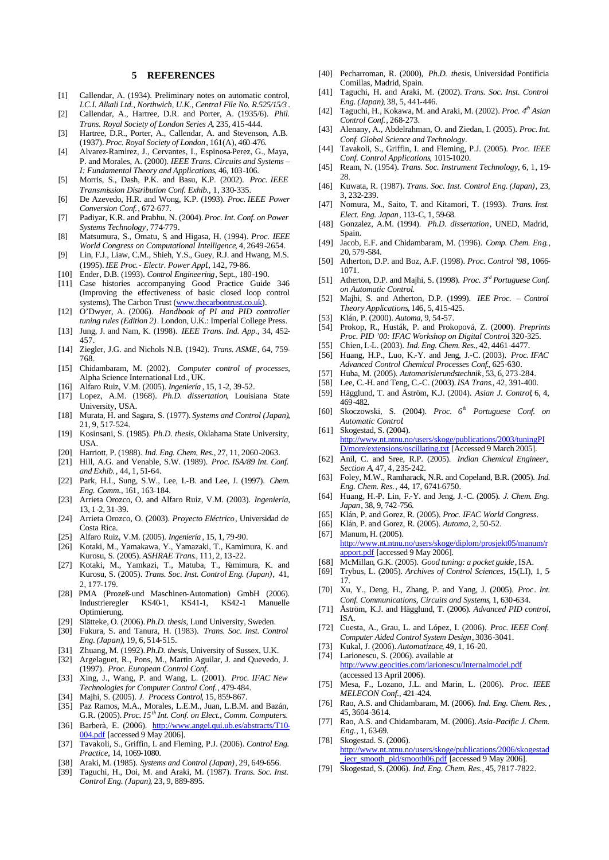#### **5 REFERENCES**

- [1] Callendar, A. (1934). Preliminary notes on automatic control, *I.C.I. Alkali Ltd., Northwich, U.K., Central File No. R.525/15/3* .
- [2] Callendar, A., Hartree, D.R. and Porter, A. (1935/6). *Phil. Trans. Royal Society of London Series A*, 235, 415-444.
- [3] Hartree, D.R., Porter, A., Callendar, A. and Stevenson, A.B. (1937). *Proc. Royal Society of London*, 161(A), 460-476.
- [4] Alvarez-Ramirez, J., Cervantes, I., Espinosa-Perez, G., Maya, P. and Morales, A. (2000). *IEEE Trans. Circuits and Systems – I: Fundamental Theory and Applications*, 46, 103-106.
- [5] Morris, S., Dash, P.K. and Basu, K.P. (2002). *Proc. IEEE Transmission Distribution Conf. Exhib.,* 1, 330-335.
- [6] De Azevedo, H.R. and Wong, K.P. (1993). *Proc. IEEE Power Conversion Conf.*, 672-677.
- [7] Padiyar, K.R. and Prabhu, N. (2004). *Proc. Int. Conf. on Power Systems Technology*, 774-779.
- [8] Matsumura, S., Omatu, S. and Higasa, H. (1994). *Proc. IEEE World Congress on Computational Intelligence*, 4, 2649-2654.
- [9] Lin, F.J., Liaw, C.M., Shieh, Y.S., Guey, R.J. and Hwang, M.S. (1995). *IEE Proc.- Electr. Power Appl*., 142, 79-86.
- [10] Ender, D.B. (1993). *Control Engineering*, Sept., 180-190.
- [11] Case histories accompanying Good Practice Guide 346 (Improving the effectiveness of basic closed loop control systems), The Carbon Trust (www.thecarbontrust.co.uk).
- [12] O'Dwyer, A. (2006). *Handbook of PI and PID controller tuning rules (Edition 2)*. London, U.K.: Imperial College Press.
- [13] Jung, J. and Nam, K. (1998). *IEEE Trans. Ind. App.*, 34, 452- 457.
- [14] Ziegler, J.G. and Nichols N.B. (1942). *Trans. ASME*, 64, 759- 768.
- [15] Chidambaram, M. (2002). *Computer control of processes*, Alpha Science International Ltd., UK.
- [16] Alfaro Ruiz, V.M. (2005). *Ingeniería* , 15, 1-2, 39-52.
- [17] Lopez, A.M. (1968). *Ph.D. dissertation*, Louisiana State University, USA.
- [18] Murata, H. and Sagara, S. (1977). *Systems and Control (Japan)*, 21, 9, 517-524.
- [19] Kosinsani, S. (1985). *Ph.D. thesis*, Oklahama State University, USA.
- [20] Harriott, P. (1988). *Ind. Eng. Chem. Res.*, 27, 11, 2060-2063.
- [21] Hill, A.G. and Venable, S.W. (1989). *Proc. ISA/89 Int. Conf. and Exhib.*, 44, 1, 51-64.
- [22] Park, H.I., Sung, S.W., Lee, I.-B. and Lee, J. (1997). *Chem. Eng. Comm.*, 161, 163-184.
- [23] Arrieta Orozco, O. and Alfaro Ruiz, V.M. (2003). *Ingeniería*, 13, 1-2, 31-39.
- [24] Arrieta Orozco, O. (2003). *Proyecto Eléctrico*, Universidad de Costa Rica.
- [25] Alfaro Ruiz, V.M. (2005). *Ingeniería* , 15, 1, 79-90.
- [26] Kotaki, M., Yamakawa, Y., Yamazaki, T., Kamimura, K. and Kurosu, S. (2005). *ASHRAE Trans*., 111, 2, 13-22.
- [27] Kotaki, M., Yamkazi, T., Matuba, T., Kamimura, K. and Kurosu, S. (2005). *Trans. Soc. Inst. Control Eng. (Japan)*, 41, 2, 177-179.
- [28] PMA (Prozeß-und Maschinen-Automation) GmbH (2006). Industrieregler KS40-1, KS41-1, KS42-1 Manuelle Optimierung.
- [29] Slätteke, O. (2006). *Ph.D. thesis*, Lund University, Sweden.
- [30] Fukura, S. and Tanura, H. (1983). *Trans. Soc. Inst. Control Eng. (Japan)*, 19, 6, 514-515.
- [31] Zhuang, M. (1992). *Ph.D. thesis*, University of Sussex, U.K.
- [32] Argelaguet, R., Pons, M., Martin Aguilar, J. and Quevedo, J. (1997). *Proc. European Control Conf.*
- [33] Xing, J., Wang, P. and Wang, L. (2001). *Proc. IFAC New Technologies for Computer Control Conf.*, 479-484.
- [34] Majhi, S. (2005). *J. Process Control*, 15, 859-867.
- [35] Paz Ramos, M.A., Morales, L.E.M., Juan, L.B.M. and Bazán, G.R. (2005). *Proc. 15th Int. Conf. on Elect., Comm. Computers*.
- [36] Barberà, E. (2006). http://www.angel.qui.ub.es/abstracts/T10-004.pdf [accessed 9 May 2006].
- [37] Tavakoli, S., Griffin, I. and Fleming, P.J. (2006). *Control Eng. Practice*, 14, 1069-1080.
- [38] Araki, M. (1985). *Systems and Control (Japan)*, 29, 649-656.
- [39] Taguchi, H., Doi, M. and Araki, M. (1987). *Trans. Soc. Inst. Control Eng. (Japan)*, 23, 9, 889-895.
- [40] Pecharroman, R. (2000), *Ph.D. thesis*, Universidad Pontificia Comillas, Madrid, Spain.
- [41] Taguchi, H. and Araki, M. (2002). *Trans. Soc. Inst. Control Eng. (Japan)*, 38, 5, 441-446.
- [42] Taguchi, H., Kokawa, M. and Araki, M. (2002). *Proc. 4th Asian Control Conf.*, 268-273.
- [43] Alenany, A., Abdelrahman, O. and Ziedan, I. (2005). *Proc. Int. Conf. Global Science and Technology*.
- [44] Tavakoli, S., Griffin, I. and Fleming, P.J. (2005). *Proc. IEEE Conf. Control Applications*, 1015-1020.
- [45] Ream, N. (1954). *Trans. Soc. Instrument Technology*, 6, 1, 19- 28.
- [46] Kuwata, R. (1987). *Trans. Soc. Inst. Control Eng. (Japan)*, 23, 3, 232-239.
- [47] Nomura, M., Saito, T. and Kitamori, T. (1993). *Trans. Inst. Elect. Eng. Japan*, 113-C, 1, 59-68.
- [48] Gonzalez, A.M. (1994). *Ph.D. dissertation*, UNED, Madrid, Spain.
- [49] Jacob, E.F. and Chidambaram, M. (1996). *Comp. Chem. Eng.*, 20, 579-584.
- [50] Atherton, D.P. and Boz, A.F. (1998). *Proc. Control '98*, 1066- 1071.
- [51] Atherton, D.P. and Majhi, S. (1998). *Proc. 3rd Portuguese Conf. on Automatic Control*.
- [52] Majhi, S. and Atherton, D.P. (1999). *IEE Proc. Control Theory Applications*, 146, 5, 415-425.
- [53] Klán, P. (2000). *Automa*, 9, 54-57.
- [54] Prokop, R., Husták, P. and Prokopová, Z. (2000). *Preprints Proc. PID '00: IFAC Workshop on Digital Control*, 320-325.
- [55] Chien, I.-L. (2003). *Ind. Eng. Chem. Res.*, 42, 4461-4477.
- [56] Huang, H.P., Luo, K.-Y. and Jeng, J.-C. (2003). *Proc. IFAC Advanced Control Chemical Processes Conf*., 625-630.
- [57] Huba, M. (2005). *Automarisierundstechnik*, 53, 6, 273-284.
- [58] Lee, C.-H. and Teng, C.-C. (2003). *ISA Trans*., 42, 391-400.
- [59] Hägglund, T. and Åström, K.J. (2004). *Asian J. Control*, 6, 4, 469-482.
- [60] Skoczowski, S. (2004). *Proc. 6 th Portuguese Conf. on Automatic Control*.
- [61] Skogestad, S. (2004). http://www.nt.ntnu.no/users/skoge/publications/2003/tuningPI D/more/extensions/oscillating.txt [Accessed 9 March 2005].
- [62] Anil, C. and Sree, R.P. (2005). *Indian Chemical Engineer, Section A*, 47, 4, 235-242.
- [63] Foley, M.W., Ramharack, N.R. and Copeland, B.R. (2005). *Ind. Eng. Chem. Res.*, 44, 17, 6741-6750.
- [64] Huang, H.-P. Lin, F.-Y. and Jeng, J.-C. (2005). *J. Chem. Eng. Japan*, 38, 9, 742-756.
- [65] Klán, P. and Gorez, R. (2005). *Proc. IFAC World Congress*.
- [66] Klán, P. and Gorez, R. (2005). *Automa*, 2, 50-52.
- [67] Manum, H. (2005).
- http://www.nt.ntnu.no/users/skoge/diplom/prosjekt05/manum/r apport.pdf [accessed 9 May 2006].
- [68] McMillan, G.K. (2005). *Good tuning: a pocket guide*, ISA.
- [69] Trybus, L. (2005). *Archives of Control Sciences*, 15(LI), 1, 5- 17.
- [70] Xu, Y., Deng, H., Zhang, P. and Yang, J. (2005). *Proc*. *Int. Conf. Communications, Circuits and Systems*, 1, 630-634.
- [71] Åström, K.J. and Hägglund, T. (2006). *Advanced PID control*, ISA.
- [72] Cuesta, A., Grau, L. and López, I. (2006). *Proc. IEEE Conf. Computer Aided Control System Design*, 3036-3041.
- [73] Kukal, J. (2006). *Automatizace*, 49, 1, 16-20.
- [74] Larionescu, S. (2006). available at http://www.geocities.com/larionescu/Internalmodel.pdf (accessed 13 April 2006).
- [75] Mesa, F., Lozano, J.L. and Marin, L. (2006). *Proc. IEEE MELECON Conf.*, 421-424.
- [76] Rao, A.S. and Chidambaram, M. (2006). *Ind. Eng. Chem. Res.* , 45, 3604-3614.
- [77] Rao, A.S. and Chidambaram, M. (2006). *Asia-Pacific J. Chem. Eng.*, 1, 63-69.
- [78] Skogestad. S. (2006). http://www.nt.ntnu.no/users/skoge/publications/2006/skogestad iecr\_smooth\_pid/smooth06.pdf [accessed 9 May 2006].
- [79] Skogestad, S. (2006). *Ind. Eng. Chem. Res.*, 45, 7817-7822.